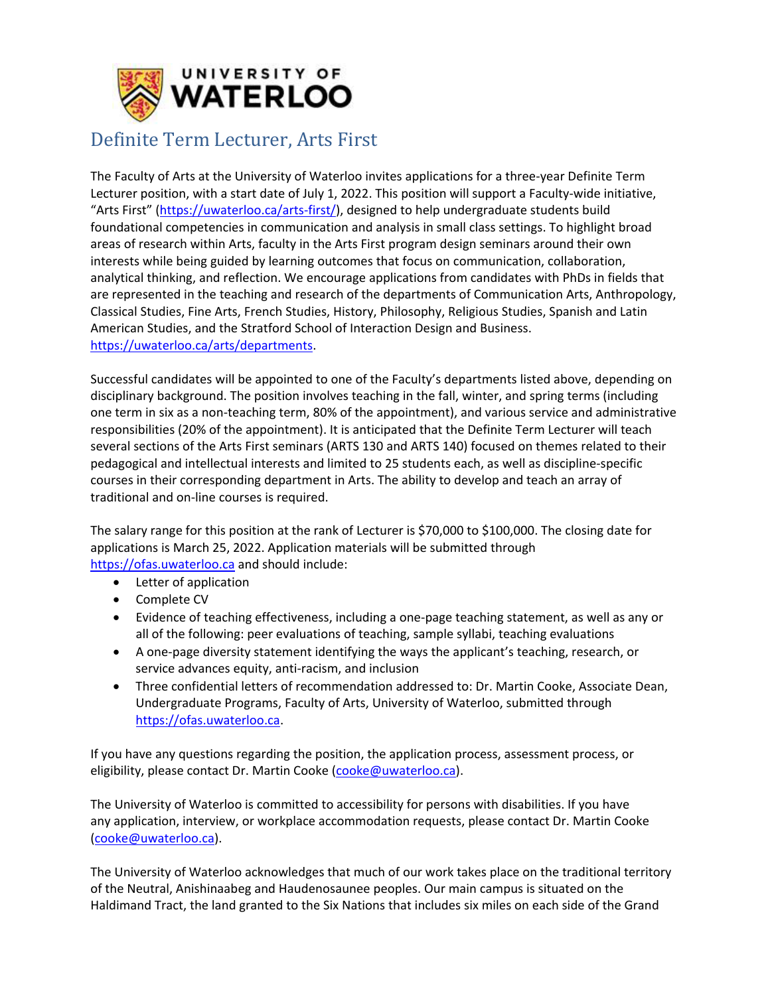

## Definite Term Lecturer, Arts First

The Faculty of Arts at the University of Waterloo invites applications for a three-year Definite Term Lecturer position, with a start date of July 1, 2022. This position will support a Faculty-wide initiative, "Arts First" [\(https://uwaterloo.ca/arts-first/\)](https://uwaterloo.ca/arts-first/), designed to help undergraduate students build foundational competencies in communication and analysis in small class settings. To highlight broad areas of research within Arts, faculty in the Arts First program design seminars around their own interests while being guided by learning outcomes that focus on communication, collaboration, analytical thinking, and reflection. We encourage applications from candidates with PhDs in fields that are represented in the teaching and research of the departments of Communication Arts, Anthropology, Classical Studies, Fine Arts, French Studies, History, Philosophy, Religious Studies, Spanish and Latin American Studies, and the Stratford School of Interaction Design and Business. [https://uwaterloo.ca/arts/departments.](https://uwaterloo.ca/arts/departments)

Successful candidates will be appointed to one of the Faculty's departments listed above, depending on disciplinary background. The position involves teaching in the fall, winter, and spring terms (including one term in six as a non-teaching term, 80% of the appointment), and various service and administrative responsibilities (20% of the appointment). It is anticipated that the Definite Term Lecturer will teach several sections of the Arts First seminars (ARTS 130 and ARTS 140) focused on themes related to their pedagogical and intellectual interests and limited to 25 students each, as well as discipline-specific courses in their corresponding department in Arts. The ability to develop and teach an array of traditional and on-line courses is required.

The salary range for this position at the rank of Lecturer is \$70,000 to \$100,000. The closing date for applications is March 25, 2022. Application materials will be submitted through [https://ofas.uwaterloo.ca](https://ofas.uwaterloo.ca/) and should include:

- Letter of application
- Complete CV
- Evidence of teaching effectiveness, including a one-page teaching statement, as well as any or all of the following: peer evaluations of teaching, sample syllabi, teaching evaluations
- A one-page diversity statement identifying the ways the applicant's teaching, research, or service advances equity, anti-racism, and inclusion
- Three confidential letters of recommendation addressed to: Dr. Martin Cooke, Associate Dean, Undergraduate Programs, Faculty of Arts, University of Waterloo, submitted through [https://ofas.uwaterloo.ca.](https://ofas.uwaterloo.ca/)

If you have any questions regarding the position, the application process, assessment process, or eligibility, please contact Dr. Martin Cooke [\(cooke@uwaterloo.ca\)](mailto:cooke@uwaterloo.ca).

The University of Waterloo is committed to accessibility for persons with disabilities. If you have any application, interview, or workplace accommodation requests, please contact Dr. Martin Cooke [\(cooke@uwaterloo.ca\)](mailto:cooke@uwaterloo.ca).

The University of Waterloo acknowledges that much of our work takes place on the traditional territory of the Neutral, Anishinaabeg and Haudenosaunee peoples. Our main campus is situated on the Haldimand Tract, the land granted to the Six Nations that includes six miles on each side of the Grand